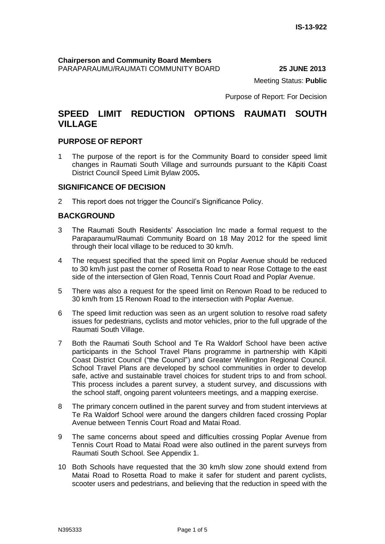#### **Chairperson and Community Board Members** PARAPARAUMU/RAUMATI COMMUNITY BOARD **25 JUNE 2013**

Meeting Status: **Public**

Purpose of Report: For Decision

## **SPEED LIMIT REDUCTION OPTIONS RAUMATI SOUTH VILLAGE**

## **PURPOSE OF REPORT**

1 The purpose of the report is for the Community Board to consider speed limit changes in Raumati South Village and surrounds pursuant to the Kāpiti Coast District Council Speed Limit Bylaw 2005**.**

### **SIGNIFICANCE OF DECISION**

2 This report does not trigger the Council's Significance Policy.

## **BACKGROUND**

- 3 The Raumati South Residents' Association Inc made a formal request to the Paraparaumu/Raumati Community Board on 18 May 2012 for the speed limit through their local village to be reduced to 30 km/h.
- 4 The request specified that the speed limit on Poplar Avenue should be reduced to 30 km/h just past the corner of Rosetta Road to near Rose Cottage to the east side of the intersection of Glen Road, Tennis Court Road and Poplar Avenue.
- 5 There was also a request for the speed limit on Renown Road to be reduced to 30 km/h from 15 Renown Road to the intersection with Poplar Avenue.
- 6 The speed limit reduction was seen as an urgent solution to resolve road safety issues for pedestrians, cyclists and motor vehicles, prior to the full upgrade of the Raumati South Village.
- 7 Both the Raumati South School and Te Ra Waldorf School have been active participants in the School Travel Plans programme in partnership with Kāpiti Coast District Council ("the Council") and Greater Wellington Regional Council. School Travel Plans are developed by school communities in order to develop safe, active and sustainable travel choices for student trips to and from school. This process includes a parent survey, a student survey, and discussions with the school staff, ongoing parent volunteers meetings, and a mapping exercise.
- 8 The primary concern outlined in the parent survey and from student interviews at Te Ra Waldorf School were around the dangers children faced crossing Poplar Avenue between Tennis Court Road and Matai Road.
- 9 The same concerns about speed and difficulties crossing Poplar Avenue from Tennis Court Road to Matai Road were also outlined in the parent surveys from Raumati South School. See Appendix 1.
- 10 Both Schools have requested that the 30 km/h slow zone should extend from Matai Road to Rosetta Road to make it safer for student and parent cyclists, scooter users and pedestrians, and believing that the reduction in speed with the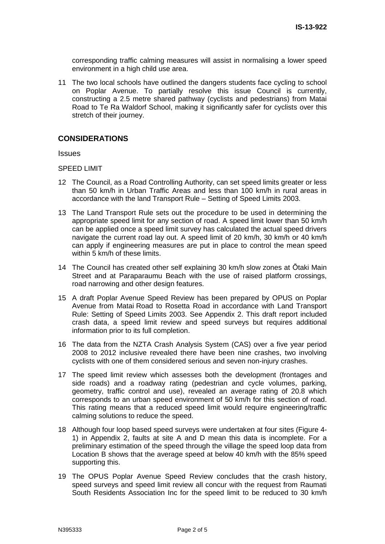corresponding traffic calming measures will assist in normalising a lower speed environment in a high child use area.

11 The two local schools have outlined the dangers students face cycling to school on Poplar Avenue. To partially resolve this issue Council is currently, constructing a 2.5 metre shared pathway (cyclists and pedestrians) from Matai Road to Te Ra Waldorf School, making it significantly safer for cyclists over this stretch of their journey.

## **CONSIDERATIONS**

Issues

#### SPEED LIMIT

- 12 The Council, as a Road Controlling Authority, can set speed limits greater or less than 50 km/h in Urban Traffic Areas and less than 100 km/h in rural areas in accordance with the land Transport Rule – Setting of Speed Limits 2003.
- 13 The Land Transport Rule sets out the procedure to be used in determining the appropriate speed limit for any section of road. A speed limit lower than 50 km/h can be applied once a speed limit survey has calculated the actual speed drivers navigate the current road lay out. A speed limit of 20 km/h, 30 km/h or 40 km/h can apply if engineering measures are put in place to control the mean speed within 5 km/h of these limits.
- 14 The Council has created other self explaining 30 km/h slow zones at Ōtaki Main Street and at Paraparaumu Beach with the use of raised platform crossings, road narrowing and other design features.
- 15 A draft Poplar Avenue Speed Review has been prepared by OPUS on Poplar Avenue from Matai Road to Rosetta Road in accordance with Land Transport Rule: Setting of Speed Limits 2003. See Appendix 2. This draft report included crash data, a speed limit review and speed surveys but requires additional information prior to its full completion.
- 16 The data from the NZTA Crash Analysis System (CAS) over a five year period 2008 to 2012 inclusive revealed there have been nine crashes, two involving cyclists with one of them considered serious and seven non-injury crashes.
- 17 The speed limit review which assesses both the development (frontages and side roads) and a roadway rating (pedestrian and cycle volumes, parking, geometry, traffic control and use), revealed an average rating of 20.8 which corresponds to an urban speed environment of 50 km/h for this section of road. This rating means that a reduced speed limit would require engineering/traffic calming solutions to reduce the speed.
- 18 Although four loop based speed surveys were undertaken at four sites (Figure 4- 1) in Appendix 2, faults at site A and D mean this data is incomplete. For a preliminary estimation of the speed through the village the speed loop data from Location B shows that the average speed at below 40 km/h with the 85% speed supporting this.
- 19 The OPUS Poplar Avenue Speed Review concludes that the crash history, speed surveys and speed limit review all concur with the request from Raumati South Residents Association Inc for the speed limit to be reduced to 30 km/h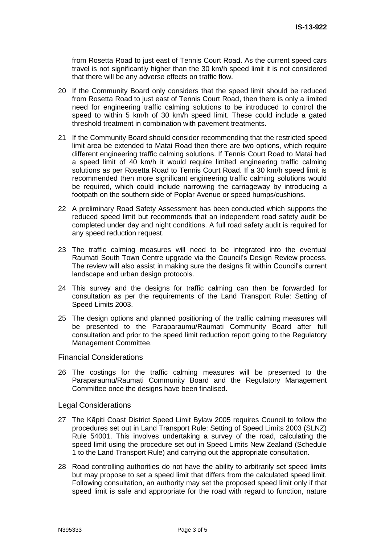from Rosetta Road to just east of Tennis Court Road. As the current speed cars travel is not significantly higher than the 30 km/h speed limit it is not considered that there will be any adverse effects on traffic flow.

- 20 If the Community Board only considers that the speed limit should be reduced from Rosetta Road to just east of Tennis Court Road, then there is only a limited need for engineering traffic calming solutions to be introduced to control the speed to within 5 km/h of 30 km/h speed limit. These could include a gated threshold treatment in combination with pavement treatments.
- 21 If the Community Board should consider recommending that the restricted speed limit area be extended to Matai Road then there are two options, which require different engineering traffic calming solutions. If Tennis Court Road to Matai had a speed limit of 40 km/h it would require limited engineering traffic calming solutions as per Rosetta Road to Tennis Court Road. If a 30 km/h speed limit is recommended then more significant engineering traffic calming solutions would be required, which could include narrowing the carriageway by introducing a footpath on the southern side of Poplar Avenue or speed humps/cushions.
- 22 A preliminary Road Safety Assessment has been conducted which supports the reduced speed limit but recommends that an independent road safety audit be completed under day and night conditions. A full road safety audit is required for any speed reduction request.
- 23 The traffic calming measures will need to be integrated into the eventual Raumati South Town Centre upgrade via the Council's Design Review process. The review will also assist in making sure the designs fit within Council's current landscape and urban design protocols.
- 24 This survey and the designs for traffic calming can then be forwarded for consultation as per the requirements of the Land Transport Rule: Setting of Speed Limits 2003.
- 25 The design options and planned positioning of the traffic calming measures will be presented to the Paraparaumu/Raumati Community Board after full consultation and prior to the speed limit reduction report going to the Regulatory Management Committee.

#### Financial Considerations

26 The costings for the traffic calming measures will be presented to the Paraparaumu/Raumati Community Board and the Regulatory Management Committee once the designs have been finalised.

#### Legal Considerations

- 27 The Kāpiti Coast District Speed Limit Bylaw 2005 requires Council to follow the procedures set out in Land Transport Rule: Setting of Speed Limits 2003 (SLNZ) Rule 54001. This involves undertaking a survey of the road, calculating the speed limit using the procedure set out in Speed Limits New Zealand (Schedule 1 to the Land Transport Rule) and carrying out the appropriate consultation.
- 28 Road controlling authorities do not have the ability to arbitrarily set speed limits but may propose to set a speed limit that differs from the calculated speed limit. Following consultation, an authority may set the proposed speed limit only if that speed limit is safe and appropriate for the road with regard to function, nature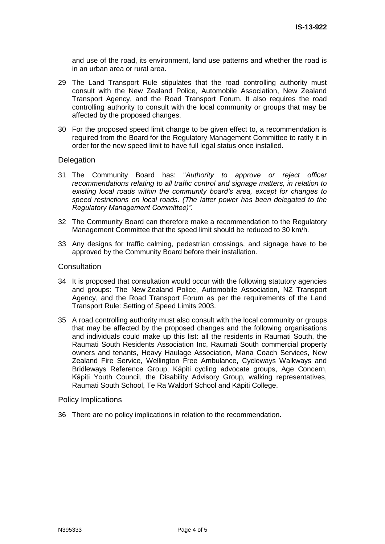and use of the road, its environment, land use patterns and whether the road is in an urban area or rural area.

- 29 The Land Transport Rule stipulates that the road controlling authority must consult with the New Zealand Police, Automobile Association, New Zealand Transport Agency, and the Road Transport Forum. It also requires the road controlling authority to consult with the local community or groups that may be affected by the proposed changes.
- 30 For the proposed speed limit change to be given effect to, a recommendation is required from the Board for the Regulatory Management Committee to ratify it in order for the new speed limit to have full legal status once installed.

#### **Delegation**

- 31 The Community Board has: "*Authority to approve or reject officer recommendations relating to all traffic control and signage matters, in relation to existing local roads within the community board's area, except for changes to speed restrictions on local roads. (The latter power has been delegated to the Regulatory Management Committee)".*
- 32 The Community Board can therefore make a recommendation to the Regulatory Management Committee that the speed limit should be reduced to 30 km/h.
- 33 Any designs for traffic calming, pedestrian crossings, and signage have to be approved by the Community Board before their installation.

#### **Consultation**

- 34 It is proposed that consultation would occur with the following statutory agencies and groups: The New Zealand Police, Automobile Association, NZ Transport Agency, and the Road Transport Forum as per the requirements of the Land Transport Rule: Setting of Speed Limits 2003.
- 35 A road controlling authority must also consult with the local community or groups that may be affected by the proposed changes and the following organisations and individuals could make up this list: all the residents in Raumati South, the Raumati South Residents Association Inc, Raumati South commercial property owners and tenants, Heavy Haulage Association, Mana Coach Services, New Zealand Fire Service, Wellington Free Ambulance, Cycleways Walkways and Bridleways Reference Group, Kāpiti cycling advocate groups, Age Concern, Kāpiti Youth Council, the Disability Advisory Group, walking representatives, Raumati South School, Te Ra Waldorf School and Kāpiti College.

#### Policy Implications

36 There are no policy implications in relation to the recommendation.